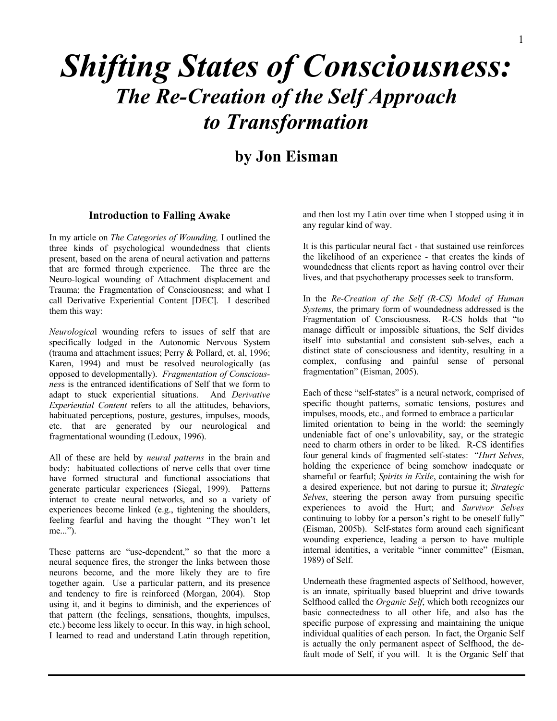# **Shifting States of Consciousness: The Re-Creation of the Self Approach**  $to$  Transformation

# **by Jon Eisman** <sup>5</sup>

#### **Introduction to Falling Awake**

In my article on *The Categories of Wounding,* I outlined the three kinds of psychological woundedness that clients present, based on the arena of neural activation and patterns that are formed through experience. The three are the Neuro-logical wounding of Attachment displacement and Trauma; the Fragmentation of Consciousness; and what I call Derivative Experiential Content [DEC]. I described them this way:

*Neurologica*l wounding refers to issues of self that are specifically lodged in the Autonomic Nervous System (trauma and attachment issues; Perry & Pollard, et. al, 1996; Karen, 1994) and must be resolved neurologically (as opposed to developmentally). *Fragmentation of Consciousnes*s is the entranced identifications of Self that we form to adapt to stuck experiential situations. And *Derivative Experiential Content* refers to all the attitudes, behaviors, habituated perceptions, posture, gestures, impulses, moods, etc. that are generated by our neurological and fragmentational wounding (Ledoux, 1996).

All of these are held by *neural patterns* in the brain and body: habituated collections of nerve cells that over time have formed structural and functional associations that generate particular experiences (Siegal, 1999). Patterns interact to create neural networks, and so a variety of experiences become linked (e.g., tightening the shoulders, feeling fearful and having the thought "They won't let me...").

These patterns are "use-dependent," so that the more a neural sequence fires, the stronger the links between those neurons become, and the more likely they are to fire together again. Use a particular pattern, and its presence and tendency to fire is reinforced (Morgan, 2004). Stop using it, and it begins to diminish, and the experiences of that pattern (the feelings, sensations, thoughts, impulses, etc.) become less likely to occur. In this way, in high school, I learned to read and understand Latin through repetition,

and then lost my Latin over time when I stopped using it in any regular kind of way.

It is this particular neural fact - that sustained use reinforces the likelihood of an experience - that creates the kinds of woundedness that clients report as having control over their lives, and that psychotherapy processes seek to transform.

In the *Re-Creation of the Self (R-CS) Model of Human Systems,* the primary form of woundedness addressed is the Fragmentation of Consciousness. R-CS holds that "to manage difficult or impossible situations, the Self divides itself into substantial and consistent sub-selves, each a distinct state of consciousness and identity, resulting in a complex, confusing and painful sense of personal fragmentation" (Eisman, 2005).

Each of these "self-states" is a neural network, comprised of specific thought patterns, somatic tensions, postures and impulses, moods, etc., and formed to embrace a particular limited orientation to being in the world: the seemingly undeniable fact of one's unlovability, say, or the strategic need to charm others in order to be liked. R-CS identifies four general kinds of fragmented self-states: "*Hurt Selves*, holding the experience of being somehow inadequate or shameful or fearful; *Spirits in Exile*, containing the wish for a desired experience, but not daring to pursue it; *Strategic Selves*, steering the person away from pursuing specific experiences to avoid the Hurt; and *Survivor Selves* continuing to lobby for a person's right to be oneself fully" (Eisman, 2005b). Self-states form around each significant wounding experience, leading a person to have multiple internal identities, a veritable "inner committee" (Eisman, 1989) of Self.

Underneath these fragmented aspects of Selfhood, however, is an innate, spiritually based blueprint and drive towards Selfhood called the *Organic Self*, which both recognizes our basic connectedness to all other life, and also has the specific purpose of expressing and maintaining the unique individual qualities of each person. In fact, the Organic Self is actually the only permanent aspect of Selfhood, the default mode of Self, if you will. It is the Organic Self that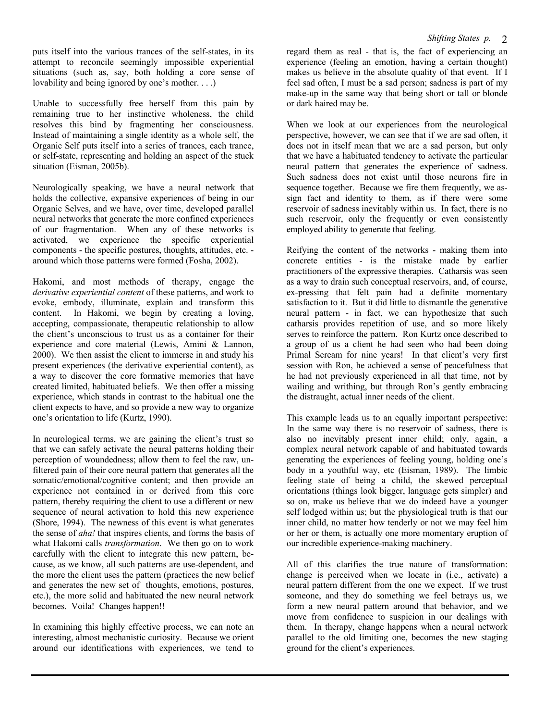puts itself into the various trances of the self-states, in its attempt to reconcile seemingly impossible experiential situations (such as, say, both holding a core sense of lovability and being ignored by one's mother. . . .)

Unable to successfully free herself from this pain by remaining true to her instinctive wholeness, the child resolves this bind by fragmenting her consciousness. Instead of maintaining a single identity as a whole self, the Organic Self puts itself into a series of trances, each trance, or self-state, representing and holding an aspect of the stuck situation (Eisman, 2005b).

Neurologically speaking, we have a neural network that holds the collective, expansive experiences of being in our Organic Selves, and we have, over time, developed parallel neural networks that generate the more confined experiences of our fragmentation. When any of these networks is activated, we experience the specific experiential components - the specific postures, thoughts, attitudes, etc. around which those patterns were formed (Fosha, 2002).

Hakomi, and most methods of therapy, engage the *derivative experiential content* of these patterns, and work to evoke, embody, illuminate, explain and transform this content. In Hakomi, we begin by creating a loving, accepting, compassionate, therapeutic relationship to allow the client's unconscious to trust us as a container for their experience and core material (Lewis, Amini & Lannon, 2000). We then assist the client to immerse in and study his present experiences (the derivative experiential content), as a way to discover the core formative memories that have created limited, habituated beliefs. We then offer a missing experience, which stands in contrast to the habitual one the client expects to have, and so provide a new way to organize one's orientation to life (Kurtz, 1990).

In neurological terms, we are gaining the client's trust so that we can safely activate the neural patterns holding their perception of woundedness; allow them to feel the raw, unfiltered pain of their core neural pattern that generates all the somatic/emotional/cognitive content; and then provide an experience not contained in or derived from this core pattern, thereby requiring the client to use a different or new sequence of neural activation to hold this new experience (Shore, 1994). The newness of this event is what generates the sense of *aha!* that inspires clients, and forms the basis of what Hakomi calls *transformation*. We then go on to work carefully with the client to integrate this new pattern, because, as we know, all such patterns are use-dependent, and the more the client uses the pattern (practices the new belief and generates the new set of thoughts, emotions, postures, etc.), the more solid and habituated the new neural network becomes. Voila! Changes happen!!

In examining this highly effective process, we can note an interesting, almost mechanistic curiosity. Because we orient around our identifications with experiences, we tend to

regard them as real - that is, the fact of experiencing an experience (feeling an emotion, having a certain thought) makes us believe in the absolute quality of that event. If I feel sad often, I must be a sad person; sadness is part of my make-up in the same way that being short or tall or blonde or dark haired may be.

When we look at our experiences from the neurological perspective, however, we can see that if we are sad often, it does not in itself mean that we are a sad person, but only that we have a habituated tendency to activate the particular neural pattern that generates the experience of sadness. Such sadness does not exist until those neurons fire in sequence together. Because we fire them frequently, we assign fact and identity to them, as if there were some reservoir of sadness inevitably within us. In fact, there is no such reservoir, only the frequently or even consistently employed ability to generate that feeling.

Reifying the content of the networks - making them into concrete entities - is the mistake made by earlier practitioners of the expressive therapies. Catharsis was seen as a way to drain such conceptual reservoirs, and, of course, ex-pressing that felt pain had a definite momentary satisfaction to it. But it did little to dismantle the generative neural pattern - in fact, we can hypothesize that such catharsis provides repetition of use, and so more likely serves to reinforce the pattern. Ron Kurtz once described to a group of us a client he had seen who had been doing Primal Scream for nine years! In that client's very first session with Ron, he achieved a sense of peacefulness that he had not previously experienced in all that time, not by wailing and writhing, but through Ron's gently embracing the distraught, actual inner needs of the client.

This example leads us to an equally important perspective: In the same way there is no reservoir of sadness, there is also no inevitably present inner child; only, again, a complex neural network capable of and habituated towards generating the experiences of feeling young, holding one's body in a youthful way, etc (Eisman, 1989). The limbic feeling state of being a child, the skewed perceptual orientations (things look bigger, language gets simpler) and so on, make us believe that we do indeed have a younger self lodged within us; but the physiological truth is that our inner child, no matter how tenderly or not we may feel him or her or them, is actually one more momentary eruption of our incredible experience-making machinery.

All of this clarifies the true nature of transformation: change is perceived when we locate in (i.e., activate) a neural pattern different from the one we expect. If we trust someone, and they do something we feel betrays us, we form a new neural pattern around that behavior, and we move from confidence to suspicion in our dealings with them. In therapy, change happens when a neural network parallel to the old limiting one, becomes the new staging ground for the client's experiences.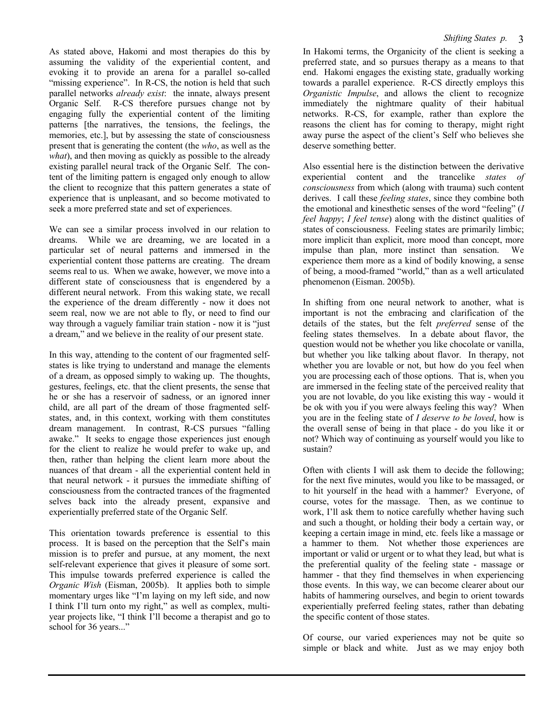As stated above, Hakomi and most therapies do this by assuming the validity of the experiential content, and evoking it to provide an arena for a parallel so-called "missing experience". In R-CS, the notion is held that such parallel networks *already exist*: the innate, always present Organic Self. R-CS therefore pursues change not by engaging fully the experiential content of the limiting patterns [the narratives, the tensions, the feelings, the memories, etc.], but by assessing the state of consciousness present that is generating the content (the *who*, as well as the *what*), and then moving as quickly as possible to the already existing parallel neural track of the Organic Self. The content of the limiting pattern is engaged only enough to allow the client to recognize that this pattern generates a state of experience that is unpleasant, and so become motivated to seek a more preferred state and set of experiences.

We can see a similar process involved in our relation to dreams. While we are dreaming, we are located in a particular set of neural patterns and immersed in the experiential content those patterns are creating. The dream seems real to us. When we awake, however, we move into a different state of consciousness that is engendered by a different neural network. From this waking state, we recall the experience of the dream differently - now it does not seem real, now we are not able to fly, or need to find our way through a vaguely familiar train station - now it is "just a dream," and we believe in the reality of our present state.

In this way, attending to the content of our fragmented selfstates is like trying to understand and manage the elements of a dream, as opposed simply to waking up. The thoughts, gestures, feelings, etc. that the client presents, the sense that he or she has a reservoir of sadness, or an ignored inner child, are all part of the dream of those fragmented selfstates, and, in this context, working with them constitutes dream management. In contrast, R-CS pursues "falling awake." It seeks to engage those experiences just enough for the client to realize he would prefer to wake up, and then, rather than helping the client learn more about the nuances of that dream - all the experiential content held in that neural network - it pursues the immediate shifting of consciousness from the contracted trances of the fragmented selves back into the already present, expansive and experientially preferred state of the Organic Self.

This orientation towards preference is essential to this process. It is based on the perception that the Self's main mission is to prefer and pursue, at any moment, the next self-relevant experience that gives it pleasure of some sort. This impulse towards preferred experience is called the *Organic Wish* (Eisman, 2005b). It applies both to simple momentary urges like "I'm laying on my left side, and now I think I'll turn onto my right," as well as complex, multiyear projects like, "I think I'll become a therapist and go to school for 36 years..."

In Hakomi terms, the Organicity of the client is seeking a preferred state, and so pursues therapy as a means to that end. Hakomi engages the existing state, gradually working towards a parallel experience. R-CS directly employs this *Organistic Impulse*, and allows the client to recognize immediately the nightmare quality of their habitual networks. R-CS, for example, rather than explore the reasons the client has for coming to therapy, might right away purse the aspect of the client's Self who believes she deserve something better.

Also essential here is the distinction between the derivative experiential content and the trancelike *states of consciousness* from which (along with trauma) such content derives. I call these *feeling states*, since they combine both the emotional and kinesthetic senses of the word "feeling" (*I feel happy*; *I feel tense*) along with the distinct qualities of states of consciousness. Feeling states are primarily limbic; more implicit than explicit, more mood than concept, more impulse than plan, more instinct than sensation. We experience them more as a kind of bodily knowing, a sense of being, a mood-framed "world," than as a well articulated phenomenon (Eisman. 2005b).

In shifting from one neural network to another, what is important is not the embracing and clarification of the details of the states, but the felt *preferred* sense of the feeling states themselves. In a debate about flavor, the question would not be whether you like chocolate or vanilla, but whether you like talking about flavor. In therapy, not whether you are lovable or not, but how do you feel when you are processing each of those options. That is, when you are immersed in the feeling state of the perceived reality that you are not lovable, do you like existing this way - would it be ok with you if you were always feeling this way? When you are in the feeling state of *I deserve to be loved*, how is the overall sense of being in that place - do you like it or not? Which way of continuing as yourself would you like to sustain?

Often with clients I will ask them to decide the following; for the next five minutes, would you like to be massaged, or to hit yourself in the head with a hammer? Everyone, of course, votes for the massage. Then, as we continue to work, I'll ask them to notice carefully whether having such and such a thought, or holding their body a certain way, or keeping a certain image in mind, etc. feels like a massage or a hammer to them. Not whether those experiences are important or valid or urgent or to what they lead, but what is the preferential quality of the feeling state - massage or hammer - that they find themselves in when experiencing those events. In this way, we can become clearer about our habits of hammering ourselves, and begin to orient towards experientially preferred feeling states, rather than debating the specific content of those states.

Of course, our varied experiences may not be quite so simple or black and white. Just as we may enjoy both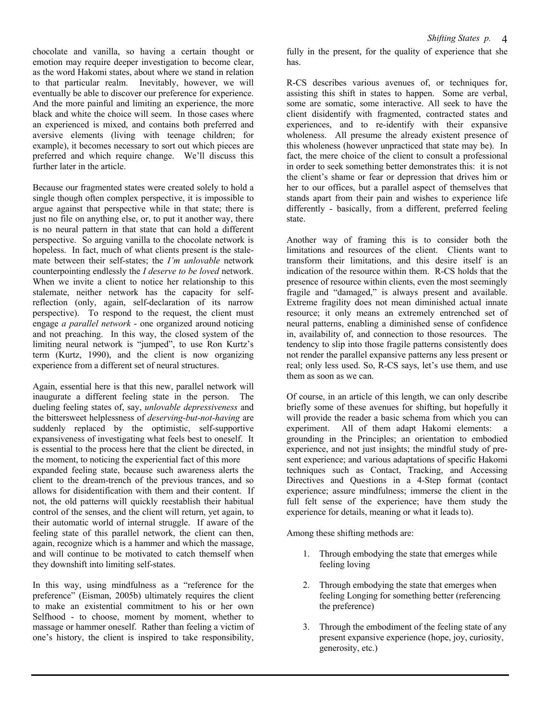chocolate and vanilla, so having a certain thought or emotion may require deeper investigation to become clear, as the word Hakomi states, about where we stand in relation to that particular realm. Inevitably, however, we will eventually be able to discover our preference for experience. And the more painful and limiting an experience, the more black and white the choice will seem. In those cases where an experienced is mixed, and contains both preferred and aversive elements (living with teenage children; for example), it becomes necessary to sort out which pieces are preferred and which require change. We'll discuss this further later in the article.

Because our fragmented states were created solely to hold a single though often complex perspective, it is impossible to argue against that perspective while in that state; there is just no file on anything else, or, to put it another way, there is no neural pattern in that state that can hold a different perspective. So arguing vanilla to the chocolate network is hopeless. In fact, much of what clients present is the stalemate between their self-states; the *I'm unlovable* network counterpointing endlessly the *I deserve to be loved* network. When we invite a client to notice her relationship to this stalemate, neither network has the capacity for selfreflection (only, again, self-declaration of its narrow perspective). To respond to the request, the client must engage *a parallel network* - one organized around noticing and not preaching. In this way, the closed system of the limiting neural network is "jumped", to use Ron Kurtz's term (Kurtz, 1990), and the client is now organizing experience from a different set of neural structures.

Again, essential here is that this new, parallel network will inaugurate a different feeling state in the person. The dueling feeling states of, say, *unlovable depressiveness* and the bittersweet helplessness of *deserving-but-not-having* are suddenly replaced by the optimistic, self-supportive expansiveness of investigating what feels best to oneself. It is essential to the process here that the client be directed, in the moment, to noticing the experiential fact of this more expanded feeling state, because such awareness alerts the client to the dream-trench of the previous trances, and so allows for disidentification with them and their content. If not, the old patterns will quickly reestablish their habitual control of the senses, and the client will return, yet again, to their automatic world of internal struggle. If aware of the feeling state of this parallel network, the client can then, again, recognize which is a hammer and which the massage, and will continue to be motivated to catch themself when they downshift into limiting self-states.

In this way, using mindfulness as a "reference for the preference" (Eisman, 2005b) ultimately requires the client to make an existential commitment to his or her own Selfhood - to choose, moment by moment, whether to massage or hammer oneself. Rather than feeling a victim of one's history, the client is inspired to take responsibility,

fully in the present, for the quality of experience that she has.

R-CS describes various avenues of, or techniques for, assisting this shift in states to happen. Some are verbal, some are somatic, some interactive. All seek to have the client disidentify with fragmented, contracted states and experiences, and to re-identify with their expansive wholeness. All presume the already existent presence of this wholeness (however unpracticed that state may be). In fact, the mere choice of the client to consult a professional in order to seek something better demonstrates this: it is not the client's shame or fear or depression that drives him or her to our offices, but a parallel aspect of themselves that stands apart from their pain and wishes to experience life differently - basically, from a different, preferred feeling state.

Another way of framing this is to consider both the limitations and resources of the client. Clients want to transform their limitations, and this desire itself is an indication of the resource within them. R-CS holds that the presence of resource within clients, even the most seemingly fragile and "damaged," is always present and available. Extreme fragility does not mean diminished actual innate resource; it only means an extremely entrenched set of neural patterns, enabling a diminished sense of confidence in, availability of, and connection to those resources. The tendency to slip into those fragile patterns consistently does not render the parallel expansive patterns any less present or real; only less used. So, R-CS says, let's use them, and use them as soon as we can.

Of course, in an article of this length, we can only describe briefly some of these avenues for shifting, but hopefully it will provide the reader a basic schema from which you can experiment. All of them adapt Hakomi elements: a grounding in the Principles; an orientation to embodied experience, and not just insights; the mindful study of present experience; and various adaptations of specific Hakomi techniques such as Contact, Tracking, and Accessing Directives and Questions in a 4-Step format (contact experience; assure mindfulness; immerse the client in the full felt sense of the experience; have them study the experience for details, meaning or what it leads to).

Among these shifting methods are:

- 1. Through embodying the state that emerges while feeling loving
- 2. Through embodying the state that emerges when feeling Longing for something better (referencing the preference)
- 3. Through the embodiment of the feeling state of any present expansive experience (hope, joy, curiosity, generosity, etc.)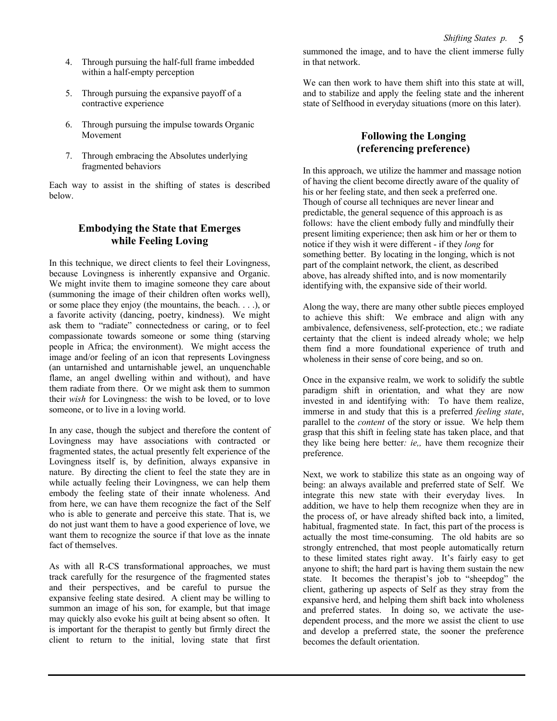- 4. Through pursuing the half-full frame imbedded within a half-empty perception
- 5. Through pursuing the expansive payoff of a contractive experience
- 6. Through pursuing the impulse towards Organic Movement
- 7. Through embracing the Absolutes underlying fragmented behaviors

Each way to assist in the shifting of states is described below.

#### **Embodying the State that Emerges while Feeling Loving**

In this technique, we direct clients to feel their Lovingness, because Lovingness is inherently expansive and Organic. We might invite them to imagine someone they care about (summoning the image of their children often works well), or some place they enjoy (the mountains, the beach. . . .), or a favorite activity (dancing, poetry, kindness). We might ask them to "radiate" connectedness or caring, or to feel compassionate towards someone or some thing (starving people in Africa; the environment). We might access the image and/or feeling of an icon that represents Lovingness (an untarnished and untarnishable jewel, an unquenchable flame, an angel dwelling within and without), and have them radiate from there. Or we might ask them to summon their *wish* for Lovingness: the wish to be loved, or to love someone, or to live in a loving world.

In any case, though the subject and therefore the content of Lovingness may have associations with contracted or fragmented states, the actual presently felt experience of the Lovingness itself is, by definition, always expansive in nature. By directing the client to feel the state they are in while actually feeling their Lovingness, we can help them embody the feeling state of their innate wholeness. And from here, we can have them recognize the fact of the Self who is able to generate and perceive this state. That is, we do not just want them to have a good experience of love, we want them to recognize the source if that love as the innate fact of themselves.

As with all R-CS transformational approaches, we must track carefully for the resurgence of the fragmented states and their perspectives, and be careful to pursue the expansive feeling state desired. A client may be willing to summon an image of his son, for example, but that image may quickly also evoke his guilt at being absent so often. It is important for the therapist to gently but firmly direct the client to return to the initial, loving state that first summoned the image, and to have the client immerse fully in that network.

We can then work to have them shift into this state at will. and to stabilize and apply the feeling state and the inherent state of Selfhood in everyday situations (more on this later).

#### **Following the Longing (referencing preference)**

In this approach, we utilize the hammer and massage notion of having the client become directly aware of the quality of his or her feeling state, and then seek a preferred one. Though of course all techniques are never linear and predictable, the general sequence of this approach is as follows: have the client embody fully and mindfully their present limiting experience; then ask him or her or them to notice if they wish it were different - if they *long* for something better. By locating in the longing, which is not part of the complaint network, the client, as described above, has already shifted into, and is now momentarily identifying with, the expansive side of their world.

Along the way, there are many other subtle pieces employed to achieve this shift: We embrace and align with any ambivalence, defensiveness, self-protection, etc.; we radiate certainty that the client is indeed already whole; we help them find a more foundational experience of truth and wholeness in their sense of core being, and so on.

Once in the expansive realm, we work to solidify the subtle paradigm shift in orientation, and what they are now invested in and identifying with: To have them realize, immerse in and study that this is a preferred *feeling state*, parallel to the *content* of the story or issue. We help them grasp that this shift in feeling state has taken place, and that they like being here better*: ie,,* have them recognize their preference.

Next, we work to stabilize this state as an ongoing way of being: an always available and preferred state of Self. We integrate this new state with their everyday lives. In addition, we have to help them recognize when they are in the process of, or have already shifted back into, a limited, habitual, fragmented state. In fact, this part of the process is actually the most time-consuming. The old habits are so strongly entrenched, that most people automatically return to these limited states right away. It's fairly easy to get anyone to shift; the hard part is having them sustain the new state. It becomes the therapist's job to "sheepdog" the client, gathering up aspects of Self as they stray from the expansive herd, and helping them shift back into wholeness and preferred states. In doing so, we activate the usedependent process, and the more we assist the client to use and develop a preferred state, the sooner the preference becomes the default orientation.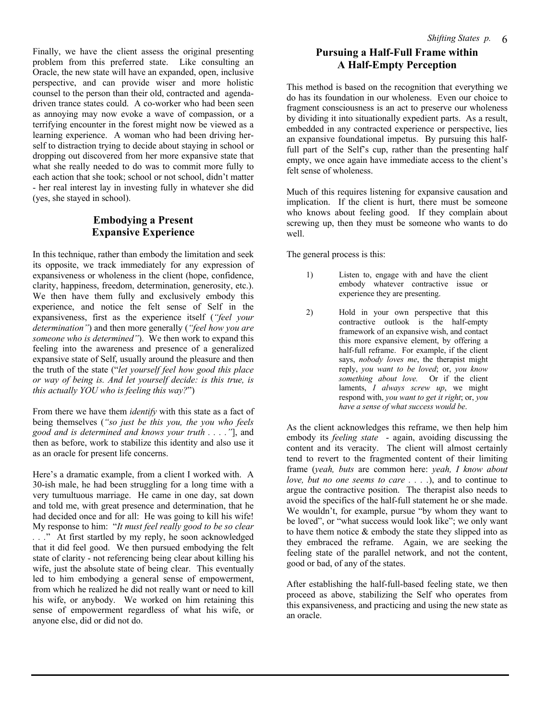Finally, we have the client assess the original presenting problem from this preferred state. Like consulting an Oracle, the new state will have an expanded, open, inclusive perspective, and can provide wiser and more holistic counsel to the person than their old, contracted and agendadriven trance states could. A co-worker who had been seen as annoying may now evoke a wave of compassion, or a terrifying encounter in the forest might now be viewed as a learning experience. A woman who had been driving herself to distraction trying to decide about staying in school or dropping out discovered from her more expansive state that what she really needed to do was to commit more fully to each action that she took; school or not school, didn't matter - her real interest lay in investing fully in whatever she did (yes, she stayed in school).

#### **Embodying a Present Expansive Experience**

In this technique, rather than embody the limitation and seek its opposite, we track immediately for any expression of expansiveness or wholeness in the client (hope, confidence, clarity, happiness, freedom, determination, generosity, etc.). We then have them fully and exclusively embody this experience, and notice the felt sense of Self in the expansiveness, first as the experience itself (*"feel your determination"*) and then more generally (*"feel how you are someone who is determined"*). We then work to expand this feeling into the awareness and presence of a generalized expansive state of Self, usually around the pleasure and then the truth of the state ("*let yourself feel how good this place or way of being is. And let yourself decide: is this true, is this actually YOU who is feeling this way?*")

From there we have them *identify* with this state as a fact of being themselves (*"so just be this you, the you who feels good and is determined and knows your truth . . . ."*], and then as before, work to stabilize this identity and also use it as an oracle for present life concerns.

Here's a dramatic example, from a client I worked with. A 30-ish male, he had been struggling for a long time with a very tumultuous marriage. He came in one day, sat down and told me, with great presence and determination, that he had decided once and for all: He was going to kill his wife! My response to him: "*It must feel really good to be so clear . . .*" At first startled by my reply, he soon acknowledged that it did feel good. We then pursued embodying the felt state of clarity - not referencing being clear about killing his wife, just the absolute state of being clear. This eventually led to him embodying a general sense of empowerment, from which he realized he did not really want or need to kill his wife, or anybody. We worked on him retaining this sense of empowerment regardless of what his wife, or anyone else, did or did not do.

## **Pursuing a Half-Full Frame within A Half-Empty Perception**

This method is based on the recognition that everything we do has its foundation in our wholeness. Even our choice to fragment consciousness is an act to preserve our wholeness by dividing it into situationally expedient parts. As a result, embedded in any contracted experience or perspective, lies an expansive foundational impetus. By pursuing this halffull part of the Self's cup, rather than the presenting half empty, we once again have immediate access to the client's felt sense of wholeness.

Much of this requires listening for expansive causation and implication. If the client is hurt, there must be someone who knows about feeling good. If they complain about screwing up, then they must be someone who wants to do well.

The general process is this:

- 1) Listen to, engage with and have the client embody whatever contractive issue or experience they are presenting.
- 2) Hold in your own perspective that this contractive outlook is the half-empty framework of an expansive wish, and contact this more expansive element, by offering a half-full reframe. For example, if the client says, *nobody loves me*, the therapist might reply, *you want to be loved*; or, *you know something about love.* Or if the client laments, *I always screw up*, we might respond with, *you want to get it right*; or, *you have a sense of what success would be*.

As the client acknowledges this reframe, we then help him embody its *feeling state* - again, avoiding discussing the content and its veracity. The client will almost certainly tend to revert to the fragmented content of their limiting frame (*yeah, buts* are common here: *yeah, I know about love, but no one seems to care . . . .*), and to continue to argue the contractive position. The therapist also needs to avoid the specifics of the half-full statement he or she made. We wouldn't, for example, pursue "by whom they want to be loved", or "what success would look like"; we only want to have them notice & embody the state they slipped into as they embraced the reframe. Again, we are seeking the feeling state of the parallel network, and not the content, good or bad, of any of the states.

After establishing the half-full-based feeling state, we then proceed as above, stabilizing the Self who operates from this expansiveness, and practicing and using the new state as an oracle.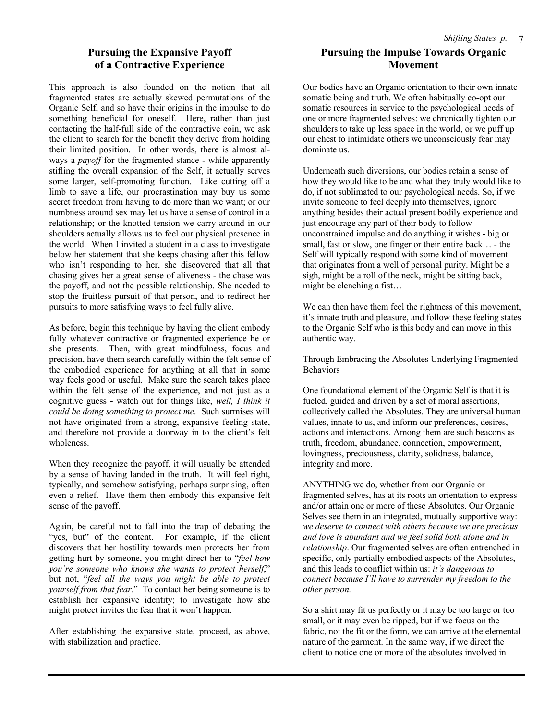#### **Pursuing the Expansive Payoff of a Contractive Experience**

This approach is also founded on the notion that all fragmented states are actually skewed permutations of the Organic Self, and so have their origins in the impulse to do something beneficial for oneself. Here, rather than just contacting the half-full side of the contractive coin, we ask the client to search for the benefit they derive from holding their limited position. In other words, there is almost always a *payoff* for the fragmented stance - while apparently stifling the overall expansion of the Self, it actually serves some larger, self-promoting function. Like cutting off a limb to save a life, our procrastination may buy us some secret freedom from having to do more than we want; or our numbness around sex may let us have a sense of control in a relationship; or the knotted tension we carry around in our shoulders actually allows us to feel our physical presence in the world. When I invited a student in a class to investigate below her statement that she keeps chasing after this fellow who isn't responding to her, she discovered that all that chasing gives her a great sense of aliveness - the chase was the payoff, and not the possible relationship. She needed to stop the fruitless pursuit of that person, and to redirect her pursuits to more satisfying ways to feel fully alive.

As before, begin this technique by having the client embody fully whatever contractive or fragmented experience he or she presents. Then, with great mindfulness, focus and precision, have them search carefully within the felt sense of the embodied experience for anything at all that in some way feels good or useful. Make sure the search takes place within the felt sense of the experience, and not just as a cognitive guess - watch out for things like, *well, I think it could be doing something to protect me*. Such surmises will not have originated from a strong, expansive feeling state, and therefore not provide a doorway in to the client's felt wholeness.

When they recognize the payoff, it will usually be attended by a sense of having landed in the truth. It will feel right, typically, and somehow satisfying, perhaps surprising, often even a relief. Have them then embody this expansive felt sense of the payoff.

Again, be careful not to fall into the trap of debating the "yes, but" of the content. For example, if the client discovers that her hostility towards men protects her from getting hurt by someone, you might direct her to "*feel how you're someone who knows she wants to protect herself*," but not, "*feel all the ways you might be able to protect yourself from that fear.*" To contact her being someone is to establish her expansive identity; to investigate how she might protect invites the fear that it won't happen.

After establishing the expansive state, proceed, as above, with stabilization and practice.

### **Pursuing the Impulse Towards Organic Movement**

Our bodies have an Organic orientation to their own innate somatic being and truth. We often habitually co-opt our somatic resources in service to the psychological needs of one or more fragmented selves: we chronically tighten our shoulders to take up less space in the world, or we puff up our chest to intimidate others we unconsciously fear may dominate us.

Underneath such diversions, our bodies retain a sense of how they would like to be and what they truly would like to do, if not sublimated to our psychological needs. So, if we invite someone to feel deeply into themselves, ignore anything besides their actual present bodily experience and just encourage any part of their body to follow unconstrained impulse and do anything it wishes - big or small, fast or slow, one finger or their entire back… - the Self will typically respond with some kind of movement that originates from a well of personal purity. Might be a sigh, might be a roll of the neck, might be sitting back, might be clenching a fist…

We can then have them feel the rightness of this movement, it's innate truth and pleasure, and follow these feeling states to the Organic Self who is this body and can move in this authentic way.

Through Embracing the Absolutes Underlying Fragmented Behaviors

One foundational element of the Organic Self is that it is fueled, guided and driven by a set of moral assertions, collectively called the Absolutes. They are universal human values, innate to us, and inform our preferences, desires, actions and interactions. Among them are such beacons as truth, freedom, abundance, connection, empowerment, lovingness, preciousness, clarity, solidness, balance, integrity and more.

ANYTHING we do, whether from our Organic or fragmented selves, has at its roots an orientation to express and/or attain one or more of these Absolutes. Our Organic Selves see them in an integrated, mutually supportive way: *we deserve to connect with others because we are precious and love is abundant and we feel solid both alone and in relationship*. Our fragmented selves are often entrenched in specific, only partially embodied aspects of the Absolutes, and this leads to conflict within us: *it's dangerous to connect because I'll have to surrender my freedom to the other person.*

So a shirt may fit us perfectly or it may be too large or too small, or it may even be ripped, but if we focus on the fabric, not the fit or the form, we can arrive at the elemental nature of the garment. In the same way, if we direct the client to notice one or more of the absolutes involved in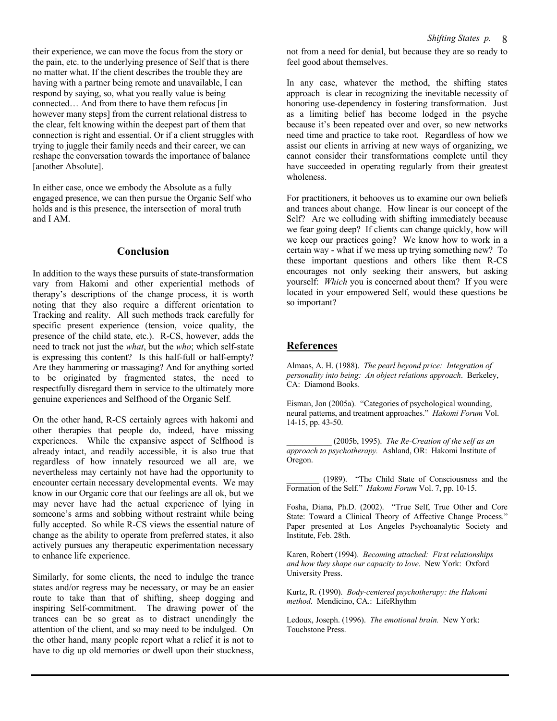their experience, we can move the focus from the story or the pain, etc. to the underlying presence of Self that is there no matter what. If the client describes the trouble they are having with a partner being remote and unavailable, I can respond by saying, so, what you really value is being connected… And from there to have them refocus [in however many steps] from the current relational distress to the clear, felt knowing within the deepest part of them that connection is right and essential. Or if a client struggles with trying to juggle their family needs and their career, we can reshape the conversation towards the importance of balance [another Absolute].

In either case, once we embody the Absolute as a fully engaged presence, we can then pursue the Organic Self who holds and is this presence, the intersection of moral truth and I AM.

#### **Conclusion**

In addition to the ways these pursuits of state-transformation vary from Hakomi and other experiential methods of therapy's descriptions of the change process, it is worth noting that they also require a different orientation to Tracking and reality. All such methods track carefully for specific present experience (tension, voice quality, the presence of the child state, etc.). R-CS, however, adds the need to track not just the *what*, but the *who*; which self-state is expressing this content? Is this half-full or half-empty? Are they hammering or massaging? And for anything sorted to be originated by fragmented states, the need to respectfully disregard them in service to the ultimately more genuine experiences and Selfhood of the Organic Self.

On the other hand, R-CS certainly agrees with hakomi and other therapies that people do, indeed, have missing experiences. While the expansive aspect of Selfhood is already intact, and readily accessible, it is also true that regardless of how innately resourced we all are, we nevertheless may certainly not have had the opportunity to encounter certain necessary developmental events. We may know in our Organic core that our feelings are all ok, but we may never have had the actual experience of lying in someone's arms and sobbing without restraint while being fully accepted. So while R-CS views the essential nature of change as the ability to operate from preferred states, it also actively pursues any therapeutic experimentation necessary to enhance life experience.

Similarly, for some clients, the need to indulge the trance states and/or regress may be necessary, or may be an easier route to take than that of shifting, sheep dogging and inspiring Self-commitment. The drawing power of the trances can be so great as to distract unendingly the attention of the client, and so may need to be indulged. On the other hand, many people report what a relief it is not to have to dig up old memories or dwell upon their stuckness,

not from a need for denial, but because they are so ready to feel good about themselves.

In any case, whatever the method, the shifting states approach is clear in recognizing the inevitable necessity of honoring use-dependency in fostering transformation. Just as a limiting belief has become lodged in the psyche because it's been repeated over and over, so new networks need time and practice to take root. Regardless of how we assist our clients in arriving at new ways of organizing, we cannot consider their transformations complete until they have succeeded in operating regularly from their greatest wholeness.

For practitioners, it behooves us to examine our own beliefs and trances about change. How linear is our concept of the Self? Are we colluding with shifting immediately because we fear going deep? If clients can change quickly, how will we keep our practices going? We know how to work in a certain way - what if we mess up trying something new? To these important questions and others like them R-CS encourages not only seeking their answers, but asking yourself: *Which* you is concerned about them? If you were located in your empowered Self, would these questions be so important?

#### **References**

Almaas, A. H. (1988). *The pearl beyond price: Integration of personality into being: An object relations approach*. Berkeley, CA: Diamond Books.

Eisman, Jon (2005a). "Categories of psychological wounding, neural patterns, and treatment approaches." *Hakomi Forum* Vol. 14-15, pp. 43-50.

\_\_\_\_\_\_\_\_\_\_\_ (2005b, 1995). *The Re-Creation of the self as an approach to psychotherapy.* Ashland, OR: Hakomi Institute of Oregon.

(1989). "The Child State of Consciousness and the Formation of the Self." *Hakomi Forum* Vol. 7, pp. 10-15.

Fosha, Diana, Ph.D. (2002). "True Self, True Other and Core State: Toward a Clinical Theory of Affective Change Process." Paper presented at Los Angeles Psychoanalytic Society and Institute, Feb. 28th.

Karen, Robert (1994). *Becoming attached: First relationships and how they shape our capacity to love*. New York: Oxford University Press.

Kurtz, R. (1990). *Body-centered psychotherapy: the Hakomi method*. Mendicino, CA.: LifeRhythm

Ledoux, Joseph. (1996). *The emotional brain.* New York: Touchstone Press.